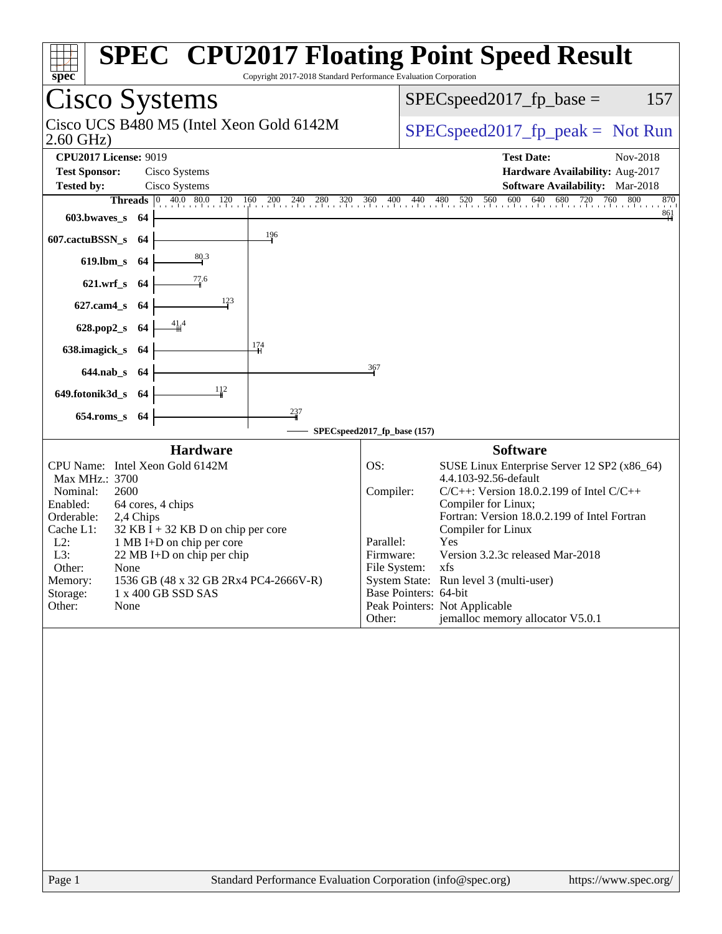| spec                                                                                                                                                                                                                                                                                                                                                                                                                                                                                                      | <b>SPEC<sup>®</sup> CPU2017 Floating Point Speed Result</b><br>Copyright 2017-2018 Standard Performance Evaluation Corporation                                                                                                                                                                                                                                                                                                                                                                        |
|-----------------------------------------------------------------------------------------------------------------------------------------------------------------------------------------------------------------------------------------------------------------------------------------------------------------------------------------------------------------------------------------------------------------------------------------------------------------------------------------------------------|-------------------------------------------------------------------------------------------------------------------------------------------------------------------------------------------------------------------------------------------------------------------------------------------------------------------------------------------------------------------------------------------------------------------------------------------------------------------------------------------------------|
| Cisco Systems                                                                                                                                                                                                                                                                                                                                                                                                                                                                                             | $SPEC speed2017fp base =$<br>157                                                                                                                                                                                                                                                                                                                                                                                                                                                                      |
| Cisco UCS B480 M5 (Intel Xeon Gold 6142M<br>$2.60$ GHz)                                                                                                                                                                                                                                                                                                                                                                                                                                                   | $SPEC speed2017_fp\_peak = Not Run$                                                                                                                                                                                                                                                                                                                                                                                                                                                                   |
| <b>CPU2017 License: 9019</b><br><b>Test Sponsor:</b><br>Cisco Systems<br>Cisco Systems<br><b>Tested by:</b><br><b>Threads</b> 0 400 800 120 160 200 240 280 320 360 400 440<br>603.bwaves s 64<br>196<br>607.cactuBSSN_s<br>-64<br>$\frac{80.3}{4}$<br>$619$ .lbm_s<br>-64<br>77.6<br>$621.wrf$ <sub>S</sub><br>-64<br>123<br>$627$ .cam $4_s$<br>-64<br>41.4<br>628.pop2_s<br>-64<br>$\frac{174}{1}$<br>638.imagick_s<br>-64<br>644.nab_s 64<br>112<br>649.fotonik3d_s 64<br>237<br>$654$ .roms_s<br>-64 | <b>Test Date:</b><br>Nov-2018<br>Hardware Availability: Aug-2017<br>Software Availability: Mar-2018<br>480 520 560 600 640 680 720 760 800<br>870<br>$\frac{861}{4}$<br>367                                                                                                                                                                                                                                                                                                                           |
|                                                                                                                                                                                                                                                                                                                                                                                                                                                                                                           | SPECspeed2017_fp_base (157)                                                                                                                                                                                                                                                                                                                                                                                                                                                                           |
| <b>Hardware</b><br>CPU Name: Intel Xeon Gold 6142M<br>Max MHz.: 3700<br>Nominal:<br>2600<br>Enabled:<br>64 cores, 4 chips<br>Orderable:<br>2,4 Chips<br>Cache L1:<br>$32$ KB I + 32 KB D on chip per core<br>$L2$ :<br>1 MB I+D on chip per core<br>L3:<br>22 MB I+D on chip per chip<br>Other:<br>None<br>1536 GB (48 x 32 GB 2Rx4 PC4-2666V-R)<br>Memory:<br>1 x 400 GB SSD SAS<br>Storage:<br>Other:<br>None                                                                                           | <b>Software</b><br>SUSE Linux Enterprise Server 12 SP2 (x86_64)<br>OS:<br>4.4.103-92.56-default<br>Compiler:<br>$C/C++$ : Version 18.0.2.199 of Intel $C/C++$<br>Compiler for Linux;<br>Fortran: Version 18.0.2.199 of Intel Fortran<br>Compiler for Linux<br>Parallel:<br>Yes<br>Version 3.2.3c released Mar-2018<br>Firmware:<br>File System: xfs<br>System State: Run level 3 (multi-user)<br>Base Pointers: 64-bit<br>Peak Pointers: Not Applicable<br>jemalloc memory allocator V5.0.1<br>Other: |
|                                                                                                                                                                                                                                                                                                                                                                                                                                                                                                           |                                                                                                                                                                                                                                                                                                                                                                                                                                                                                                       |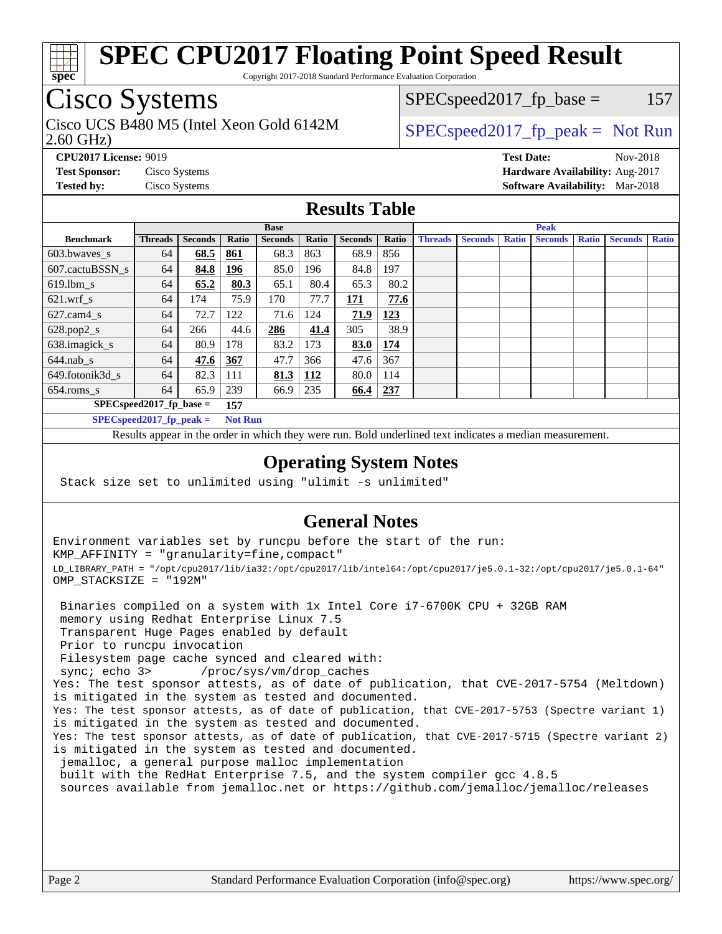

Copyright 2017-2018 Standard Performance Evaluation Corporation

## Cisco Systems

2.60 GHz) Cisco UCS B480 M5 (Intel Xeon Gold 6142M  $\big|$  [SPECspeed2017\\_fp\\_peak =](http://www.spec.org/auto/cpu2017/Docs/result-fields.html#SPECspeed2017fppeak) Not Run

 $SPEC speed2017_fp\_base = 157$ 

**[CPU2017 License:](http://www.spec.org/auto/cpu2017/Docs/result-fields.html#CPU2017License)** 9019 **[Test Date:](http://www.spec.org/auto/cpu2017/Docs/result-fields.html#TestDate)** Nov-2018 **[Test Sponsor:](http://www.spec.org/auto/cpu2017/Docs/result-fields.html#TestSponsor)** Cisco Systems **[Hardware Availability:](http://www.spec.org/auto/cpu2017/Docs/result-fields.html#HardwareAvailability)** Aug-2017 **[Tested by:](http://www.spec.org/auto/cpu2017/Docs/result-fields.html#Testedby)** Cisco Systems **[Software Availability:](http://www.spec.org/auto/cpu2017/Docs/result-fields.html#SoftwareAvailability)** Mar-2018

## **[Results Table](http://www.spec.org/auto/cpu2017/Docs/result-fields.html#ResultsTable)**

|                                              | <b>Base</b>    |                |            |                |            | <b>Peak</b>    |            |                |                |              |                |              |                |              |
|----------------------------------------------|----------------|----------------|------------|----------------|------------|----------------|------------|----------------|----------------|--------------|----------------|--------------|----------------|--------------|
| <b>Benchmark</b>                             | <b>Threads</b> | <b>Seconds</b> | Ratio      | <b>Seconds</b> | Ratio      | <b>Seconds</b> | Ratio      | <b>Threads</b> | <b>Seconds</b> | <b>Ratio</b> | <b>Seconds</b> | <b>Ratio</b> | <b>Seconds</b> | <b>Ratio</b> |
| $603.bwaves$ s                               | 64             | 68.5           | 861        | 68.3           | 863        | 68.9           | 856        |                |                |              |                |              |                |              |
| 607.cactuBSSN s                              | 64             | 84.8           | 196        | 85.0           | 196        | 84.8           | 197        |                |                |              |                |              |                |              |
| $619.$ lbm_s                                 | 64             | 65.2           | 80.3       | 65.1           | 80.4       | 65.3           | 80.2       |                |                |              |                |              |                |              |
| $621.wrf$ s                                  | 64             | 174            | 75.9       | 170            | 77.7       | 171            | 77.6       |                |                |              |                |              |                |              |
| $627$ .cam $4 \text{ s}$                     | 64             | 72.7           | 122        | 71.6           | 124        | 71.9           | <u>123</u> |                |                |              |                |              |                |              |
| $628.pop2_s$                                 | 64             | 266            | 44.6       | 286            | 41.4       | 305            | 38.9       |                |                |              |                |              |                |              |
| 638.imagick_s                                | 64             | 80.9           | 178        | 83.2           | 173        | 83.0           | 174        |                |                |              |                |              |                |              |
| $644$ .nab s                                 | 64             | 47.6           | <u>367</u> | 47.7           | 366        | 47.6           | 367        |                |                |              |                |              |                |              |
| 649.fotonik3d s                              | 64             | 82.3           | 111        | 81.3           | <u>112</u> | 80.0           | 114        |                |                |              |                |              |                |              |
| $654$ .roms s                                | 64             | 65.9           | 239        | 66.9           | 235        | 66.4           | <u>237</u> |                |                |              |                |              |                |              |
| $SPEC speed2017$ fp base =<br>157            |                |                |            |                |            |                |            |                |                |              |                |              |                |              |
| $SPECspeed2017_fp\_peak =$<br><b>Not Run</b> |                |                |            |                |            |                |            |                |                |              |                |              |                |              |

Results appear in the [order in which they were run.](http://www.spec.org/auto/cpu2017/Docs/result-fields.html#RunOrder) Bold underlined text [indicates a median measurement](http://www.spec.org/auto/cpu2017/Docs/result-fields.html#Median).

### **[Operating System Notes](http://www.spec.org/auto/cpu2017/Docs/result-fields.html#OperatingSystemNotes)**

Stack size set to unlimited using "ulimit -s unlimited"

### **[General Notes](http://www.spec.org/auto/cpu2017/Docs/result-fields.html#GeneralNotes)**

Environment variables set by runcpu before the start of the run: KMP\_AFFINITY = "granularity=fine,compact" LD\_LIBRARY\_PATH = "/opt/cpu2017/lib/ia32:/opt/cpu2017/lib/intel64:/opt/cpu2017/je5.0.1-32:/opt/cpu2017/je5.0.1-64" OMP\_STACKSIZE = "192M"

 Binaries compiled on a system with 1x Intel Core i7-6700K CPU + 32GB RAM memory using Redhat Enterprise Linux 7.5 Transparent Huge Pages enabled by default Prior to runcpu invocation Filesystem page cache synced and cleared with: sync; echo 3> /proc/sys/vm/drop\_caches Yes: The test sponsor attests, as of date of publication, that CVE-2017-5754 (Meltdown) is mitigated in the system as tested and documented. Yes: The test sponsor attests, as of date of publication, that CVE-2017-5753 (Spectre variant 1) is mitigated in the system as tested and documented. Yes: The test sponsor attests, as of date of publication, that CVE-2017-5715 (Spectre variant 2) is mitigated in the system as tested and documented. jemalloc, a general purpose malloc implementation built with the RedHat Enterprise 7.5, and the system compiler gcc 4.8.5 sources available from jemalloc.net or <https://github.com/jemalloc/jemalloc/releases>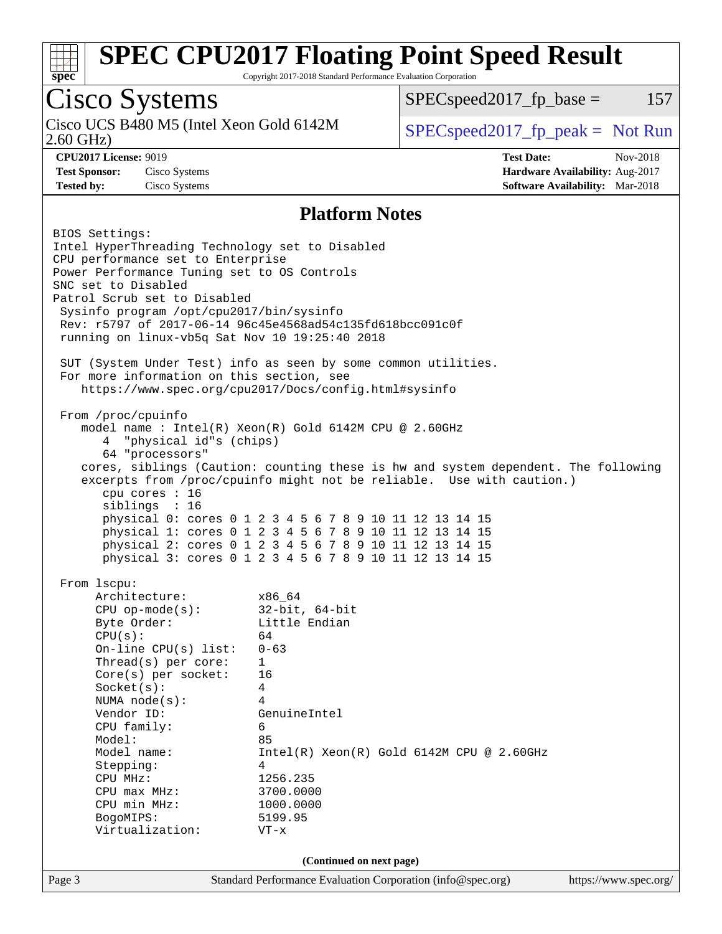

Copyright 2017-2018 Standard Performance Evaluation Corporation

# Cisco Systems<br>Cisco UCS B480 M5 (Intel Xeon Gold 6142M)

2.60 GHz)

 $SPECspeed2017_fp\_base = 157$ 

 $SPEC speed2017_fp\_peak = Not Run$ 

**[Tested by:](http://www.spec.org/auto/cpu2017/Docs/result-fields.html#Testedby)** Cisco Systems **[Software Availability:](http://www.spec.org/auto/cpu2017/Docs/result-fields.html#SoftwareAvailability)** Mar-2018

**[CPU2017 License:](http://www.spec.org/auto/cpu2017/Docs/result-fields.html#CPU2017License)** 9019 **[Test Date:](http://www.spec.org/auto/cpu2017/Docs/result-fields.html#TestDate)** Nov-2018 **[Test Sponsor:](http://www.spec.org/auto/cpu2017/Docs/result-fields.html#TestSponsor)** Cisco Systems **[Hardware Availability:](http://www.spec.org/auto/cpu2017/Docs/result-fields.html#HardwareAvailability)** Aug-2017

## **[Platform Notes](http://www.spec.org/auto/cpu2017/Docs/result-fields.html#PlatformNotes)**

| BIOS Settings:<br>Intel HyperThreading Technology set to Disabled<br>CPU performance set to Enterprise<br>Power Performance Tuning set to OS Controls<br>SNC set to Disabled<br>Patrol Scrub set to Disabled<br>Sysinfo program /opt/cpu2017/bin/sysinfo<br>running on linux-vb5q Sat Nov 10 19:25:40 2018<br>For more information on this section, see<br>From /proc/cpuinfo<br>4 "physical id"s (chips)<br>64 "processors"<br>cpu cores : 16<br>siblings : 16 | Rev: r5797 of 2017-06-14 96c45e4568ad54c135fd618bcc091c0f<br>SUT (System Under Test) info as seen by some common utilities.<br>https://www.spec.org/cpu2017/Docs/config.html#sysinfo<br>model name : Intel(R) Xeon(R) Gold 6142M CPU @ 2.60GHz<br>cores, siblings (Caution: counting these is hw and system dependent. The following<br>excerpts from /proc/cpuinfo might not be reliable. Use with caution.)<br>physical 0: cores 0 1 2 3 4 5 6 7 8 9 10 11 12 13 14 15<br>physical 1: cores 0 1 2 3 4 5 6 7 8 9 10 11 12 13 14 15<br>physical 2: cores 0 1 2 3 4 5 6 7 8 9 10 11 12 13 14 15<br>physical 3: cores 0 1 2 3 4 5 6 7 8 9 10 11 12 13 14 15 |                       |
|-----------------------------------------------------------------------------------------------------------------------------------------------------------------------------------------------------------------------------------------------------------------------------------------------------------------------------------------------------------------------------------------------------------------------------------------------------------------|-----------------------------------------------------------------------------------------------------------------------------------------------------------------------------------------------------------------------------------------------------------------------------------------------------------------------------------------------------------------------------------------------------------------------------------------------------------------------------------------------------------------------------------------------------------------------------------------------------------------------------------------------------------|-----------------------|
| From 1scpu:<br>Architecture: x86_64<br>CPU op-mode(s): 32-bit, 64-bit<br>Byte Order: Little Endian<br>CPU(s):<br>On-line CPU(s) list: $0-63$<br>Thread(s) per core:<br>$Core(s)$ per socket: 16<br>Socket(s):<br>NUMA node(s):<br>Vendor ID:<br>CPU family:<br>Model:<br>Model name:<br>Stepping:<br>CPU MHz:<br>CPU max MHz:<br>CPU min MHz:<br>BogoMIPS:<br>Virtualization:                                                                                   | 64<br>$\mathbf{1}$<br>4<br>$\overline{4}$<br>GenuineIntel<br>6<br>85<br>Intel(R) Xeon(R) Gold 6142M CPU @ 2.60GHz<br>4<br>1256.235<br>3700.0000<br>1000.0000<br>5199.95<br>$VT - x$                                                                                                                                                                                                                                                                                                                                                                                                                                                                       |                       |
| Page 3                                                                                                                                                                                                                                                                                                                                                                                                                                                          | (Continued on next page)<br>Standard Performance Evaluation Corporation (info@spec.org)                                                                                                                                                                                                                                                                                                                                                                                                                                                                                                                                                                   | https://www.spec.org/ |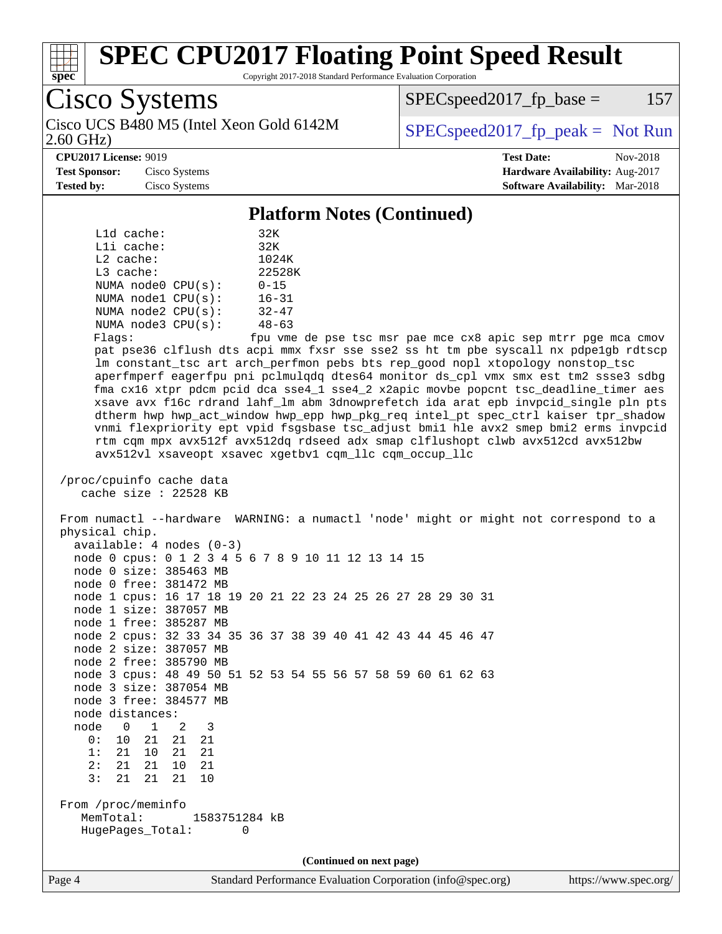

Copyright 2017-2018 Standard Performance Evaluation Corporation

Cisco Systems

Cisco UCS B480 M5 (Intel Xeon Gold 6142M  $\big|$  [SPECspeed2017\\_fp\\_peak =](http://www.spec.org/auto/cpu2017/Docs/result-fields.html#SPECspeed2017fppeak) Not Run

 $SPEC speed2017_fp\_base = 157$ 

2.60 GHz)

**[CPU2017 License:](http://www.spec.org/auto/cpu2017/Docs/result-fields.html#CPU2017License)** 9019 **[Test Date:](http://www.spec.org/auto/cpu2017/Docs/result-fields.html#TestDate)** Nov-2018 **[Test Sponsor:](http://www.spec.org/auto/cpu2017/Docs/result-fields.html#TestSponsor)** Cisco Systems **[Hardware Availability:](http://www.spec.org/auto/cpu2017/Docs/result-fields.html#HardwareAvailability)** Aug-2017 **[Tested by:](http://www.spec.org/auto/cpu2017/Docs/result-fields.html#Testedby)** Cisco Systems **[Software Availability:](http://www.spec.org/auto/cpu2017/Docs/result-fields.html#SoftwareAvailability)** Mar-2018

### **[Platform Notes \(Continued\)](http://www.spec.org/auto/cpu2017/Docs/result-fields.html#PlatformNotes)**

| $L1d$ cache:            | 32K       |
|-------------------------|-----------|
| $L1i$ cache:            | 32K       |
| $L2$ cache:             | 1024K     |
| $L3$ cache:             | 22528K    |
| NUMA node0 CPU(s):      | $0 - 15$  |
| NUMA nodel CPU(s):      | $16 - 31$ |
| NUMA node2 CPU(s):      | $32 - 47$ |
| NUMA $node3$ $CPU(s)$ : | $48 - 63$ |
|                         |           |

Flags: fpu vme de pse tsc msr pae mce cx8 apic sep mtrr pge mca cmov pat pse36 clflush dts acpi mmx fxsr sse sse2 ss ht tm pbe syscall nx pdpe1gb rdtscp lm constant\_tsc art arch\_perfmon pebs bts rep\_good nopl xtopology nonstop\_tsc aperfmperf eagerfpu pni pclmulqdq dtes64 monitor ds\_cpl vmx smx est tm2 ssse3 sdbg fma cx16 xtpr pdcm pcid dca sse4\_1 sse4\_2 x2apic movbe popcnt tsc\_deadline\_timer aes xsave avx f16c rdrand lahf\_lm abm 3dnowprefetch ida arat epb invpcid\_single pln pts dtherm hwp hwp\_act\_window hwp\_epp hwp\_pkg\_req intel\_pt spec\_ctrl kaiser tpr\_shadow vnmi flexpriority ept vpid fsgsbase tsc\_adjust bmi1 hle avx2 smep bmi2 erms invpcid rtm cqm mpx avx512f avx512dq rdseed adx smap clflushopt clwb avx512cd avx512bw avx512vl xsaveopt xsavec xgetbv1 cqm\_llc cqm\_occup\_llc

```
 /proc/cpuinfo cache data
    cache size : 22528 KB
```
 From numactl --hardware WARNING: a numactl 'node' might or might not correspond to a physical chip.

| $available: 4 nodes (0-3)$                                   |  |  |  |  |  |  |  |
|--------------------------------------------------------------|--|--|--|--|--|--|--|
| node 0 cpus: 0 1 2 3 4 5 6 7 8 9 10 11 12 13 14 15           |  |  |  |  |  |  |  |
| node 0 size: 385463 MB                                       |  |  |  |  |  |  |  |
| node 0 free: 381472 MB                                       |  |  |  |  |  |  |  |
| node 1 cpus: 16 17 18 19 20 21 22 23 24 25 26 27 28 29 30 31 |  |  |  |  |  |  |  |
| node 1 size: 387057 MB                                       |  |  |  |  |  |  |  |
| node 1 free: 385287 MB                                       |  |  |  |  |  |  |  |
| node 2 cpus: 32 33 34 35 36 37 38 39 40 41 42 43 44 45 46 47 |  |  |  |  |  |  |  |
| node 2 size: 387057 MB                                       |  |  |  |  |  |  |  |
| node 2 free: 385790 MB                                       |  |  |  |  |  |  |  |
| node 3 cpus: 48 49 50 51 52 53 54 55 56 57 58 59 60 61 62 63 |  |  |  |  |  |  |  |
| node 3 size: 387054 MB                                       |  |  |  |  |  |  |  |
| node 3 free: 384577 MB                                       |  |  |  |  |  |  |  |
| node distances:                                              |  |  |  |  |  |  |  |
| node 0 1 2 3                                                 |  |  |  |  |  |  |  |
| 0: 10 21 21 21                                               |  |  |  |  |  |  |  |
| 1: 21 10<br>21<br>21                                         |  |  |  |  |  |  |  |
| 2:<br>21 21<br>21<br>10                                      |  |  |  |  |  |  |  |
| 3:<br>21 21<br>21 10                                         |  |  |  |  |  |  |  |
| From /proc/meminfo                                           |  |  |  |  |  |  |  |
| MemTotal:<br>1583751284 kB                                   |  |  |  |  |  |  |  |
| HugePages_Total:<br>$\Omega$                                 |  |  |  |  |  |  |  |
|                                                              |  |  |  |  |  |  |  |
| (Continued on next page)                                     |  |  |  |  |  |  |  |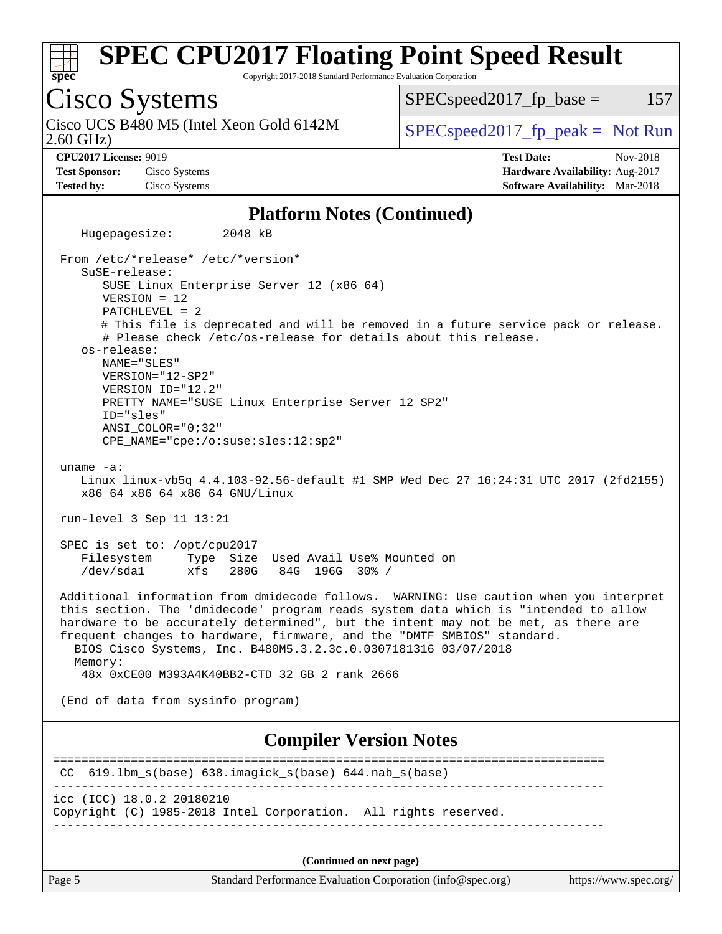

Copyright 2017-2018 Standard Performance Evaluation Corporation

Cisco Systems 2.60 GHz) Cisco UCS B480 M5 (Intel Xeon Gold 6142M  $\big|$  [SPECspeed2017\\_fp\\_peak =](http://www.spec.org/auto/cpu2017/Docs/result-fields.html#SPECspeed2017fppeak) Not Run  $SPEC speed2017<sub>fp</sub> base =  $157$$ **[CPU2017 License:](http://www.spec.org/auto/cpu2017/Docs/result-fields.html#CPU2017License)** 9019 **[Test Date:](http://www.spec.org/auto/cpu2017/Docs/result-fields.html#TestDate)** Nov-2018 **[Test Sponsor:](http://www.spec.org/auto/cpu2017/Docs/result-fields.html#TestSponsor)** Cisco Systems **[Hardware Availability:](http://www.spec.org/auto/cpu2017/Docs/result-fields.html#HardwareAvailability)** Aug-2017 **[Tested by:](http://www.spec.org/auto/cpu2017/Docs/result-fields.html#Testedby)** Cisco Systems **[Software Availability:](http://www.spec.org/auto/cpu2017/Docs/result-fields.html#SoftwareAvailability)** Mar-2018 **[Platform Notes \(Continued\)](http://www.spec.org/auto/cpu2017/Docs/result-fields.html#PlatformNotes)** Hugepagesize: 2048 kB From /etc/\*release\* /etc/\*version\* SuSE-release: SUSE Linux Enterprise Server 12 (x86\_64) VERSION = 12 PATCHLEVEL = 2 # This file is deprecated and will be removed in a future service pack or release. # Please check /etc/os-release for details about this release. os-release: NAME="SLES" VERSION="12-SP2" VERSION\_ID="12.2" PRETTY\_NAME="SUSE Linux Enterprise Server 12 SP2" ID="sles" ANSI\_COLOR="0;32" CPE\_NAME="cpe:/o:suse:sles:12:sp2" uname -a: Linux linux-vb5q 4.4.103-92.56-default #1 SMP Wed Dec 27 16:24:31 UTC 2017 (2fd2155) x86\_64 x86\_64 x86\_64 GNU/Linux run-level 3 Sep 11 13:21 SPEC is set to: /opt/cpu2017 Filesystem Type Size Used Avail Use% Mounted on /dev/sda1 xfs 280G 84G 196G 30% / Additional information from dmidecode follows. WARNING: Use caution when you interpret this section. The 'dmidecode' program reads system data which is "intended to allow hardware to be accurately determined", but the intent may not be met, as there are frequent changes to hardware, firmware, and the "DMTF SMBIOS" standard. BIOS Cisco Systems, Inc. B480M5.3.2.3c.0.0307181316 03/07/2018 Memory: 48x 0xCE00 M393A4K40BB2-CTD 32 GB 2 rank 2666 (End of data from sysinfo program) **[Compiler Version Notes](http://www.spec.org/auto/cpu2017/Docs/result-fields.html#CompilerVersionNotes)** ============================================================================== CC 619.lbm\_s(base) 638.imagick\_s(base) 644.nab\_s(base) ----------------------------------------------------------------------------- icc (ICC) 18.0.2 20180210 Copyright (C) 1985-2018 Intel Corporation. All rights reserved. ------------------------------------------------------------------------------

**(Continued on next page)**

Page 5 Standard Performance Evaluation Corporation [\(info@spec.org\)](mailto:info@spec.org) <https://www.spec.org/>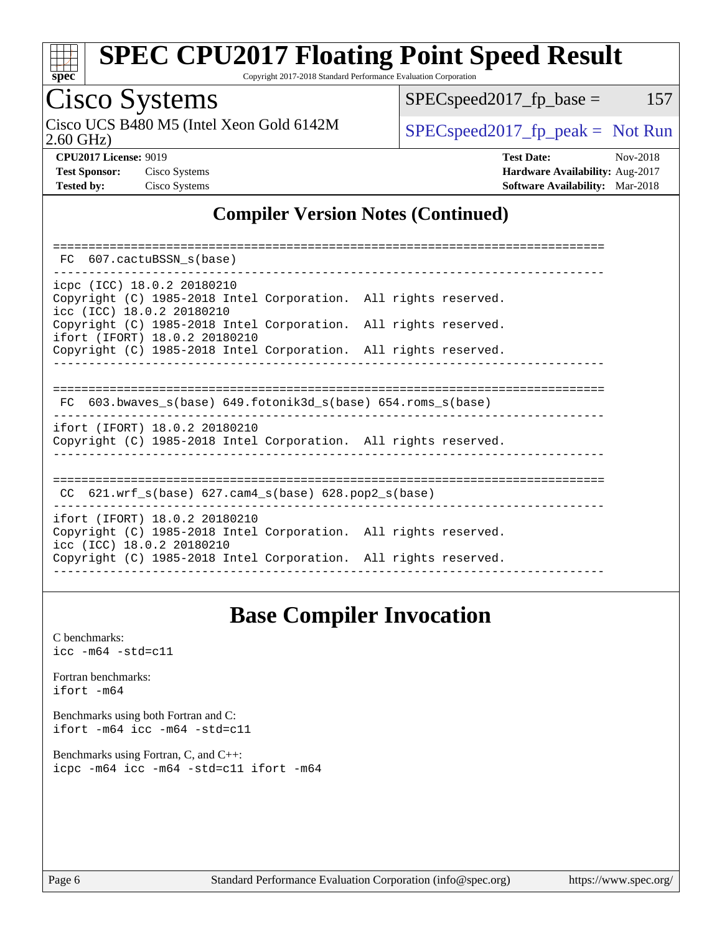

Copyright 2017-2018 Standard Performance Evaluation Corporation

Cisco Systems<br>Cisco UCS B480 M5 (Intel Xeon Gold 6142M 2.60 GHz)

 $SPEC speed2017_fp\_base = 157$ 

 $SPEC speed2017_fp\_peak = Not Run$ **[CPU2017 License:](http://www.spec.org/auto/cpu2017/Docs/result-fields.html#CPU2017License)** 9019 **[Test Date:](http://www.spec.org/auto/cpu2017/Docs/result-fields.html#TestDate)** Nov-2018

**[Test Sponsor:](http://www.spec.org/auto/cpu2017/Docs/result-fields.html#TestSponsor)** Cisco Systems **[Hardware Availability:](http://www.spec.org/auto/cpu2017/Docs/result-fields.html#HardwareAvailability)** Aug-2017 **[Tested by:](http://www.spec.org/auto/cpu2017/Docs/result-fields.html#Testedby)** Cisco Systems **[Software Availability:](http://www.spec.org/auto/cpu2017/Docs/result-fields.html#SoftwareAvailability)** Mar-2018

## **[Compiler Version Notes \(Continued\)](http://www.spec.org/auto/cpu2017/Docs/result-fields.html#CompilerVersionNotes)**

| FC 607.cactuBSSN s(base)                                                                                                   |
|----------------------------------------------------------------------------------------------------------------------------|
|                                                                                                                            |
| icpc (ICC) 18.0.2 20180210<br>Copyright (C) 1985-2018 Intel Corporation. All rights reserved.<br>icc (ICC) 18.0.2 20180210 |
| Copyright (C) 1985-2018 Intel Corporation. All rights reserved.<br>ifort (IFORT) 18.0.2 20180210                           |
| Copyright (C) 1985-2018 Intel Corporation. All rights reserved.                                                            |
|                                                                                                                            |
| $FC 603.bwaves_s(base) 649.fotonik3d_s(base) 654.roms_s(base)$                                                             |
| ifort (IFORT) 18.0.2 20180210<br>Copyright (C) 1985-2018 Intel Corporation. All rights reserved.                           |
| CC $621.wrf$ s(base) $627.cam4$ s(base) $628.pop2$ s(base)                                                                 |
| ifort (IFORT) 18.0.2 20180210                                                                                              |
| Copyright (C) 1985-2018 Intel Corporation. All rights reserved.<br>icc (ICC) 18.0.2 20180210                               |
| Copyright (C) 1985-2018 Intel Corporation. All rights reserved.                                                            |

## **[Base Compiler Invocation](http://www.spec.org/auto/cpu2017/Docs/result-fields.html#BaseCompilerInvocation)**

[C benchmarks](http://www.spec.org/auto/cpu2017/Docs/result-fields.html#Cbenchmarks): [icc -m64 -std=c11](http://www.spec.org/cpu2017/results/res2018q4/cpu2017-20181113-09744.flags.html#user_CCbase_intel_icc_64bit_c11_33ee0cdaae7deeeab2a9725423ba97205ce30f63b9926c2519791662299b76a0318f32ddfffdc46587804de3178b4f9328c46fa7c2b0cd779d7a61945c91cd35)

[Fortran benchmarks](http://www.spec.org/auto/cpu2017/Docs/result-fields.html#Fortranbenchmarks): [ifort -m64](http://www.spec.org/cpu2017/results/res2018q4/cpu2017-20181113-09744.flags.html#user_FCbase_intel_ifort_64bit_24f2bb282fbaeffd6157abe4f878425411749daecae9a33200eee2bee2fe76f3b89351d69a8130dd5949958ce389cf37ff59a95e7a40d588e8d3a57e0c3fd751)

[Benchmarks using both Fortran and C](http://www.spec.org/auto/cpu2017/Docs/result-fields.html#BenchmarksusingbothFortranandC): [ifort -m64](http://www.spec.org/cpu2017/results/res2018q4/cpu2017-20181113-09744.flags.html#user_CC_FCbase_intel_ifort_64bit_24f2bb282fbaeffd6157abe4f878425411749daecae9a33200eee2bee2fe76f3b89351d69a8130dd5949958ce389cf37ff59a95e7a40d588e8d3a57e0c3fd751) [icc -m64 -std=c11](http://www.spec.org/cpu2017/results/res2018q4/cpu2017-20181113-09744.flags.html#user_CC_FCbase_intel_icc_64bit_c11_33ee0cdaae7deeeab2a9725423ba97205ce30f63b9926c2519791662299b76a0318f32ddfffdc46587804de3178b4f9328c46fa7c2b0cd779d7a61945c91cd35)

[Benchmarks using Fortran, C, and C++:](http://www.spec.org/auto/cpu2017/Docs/result-fields.html#BenchmarksusingFortranCandCXX) [icpc -m64](http://www.spec.org/cpu2017/results/res2018q4/cpu2017-20181113-09744.flags.html#user_CC_CXX_FCbase_intel_icpc_64bit_4ecb2543ae3f1412ef961e0650ca070fec7b7afdcd6ed48761b84423119d1bf6bdf5cad15b44d48e7256388bc77273b966e5eb805aefd121eb22e9299b2ec9d9) [icc -m64 -std=c11](http://www.spec.org/cpu2017/results/res2018q4/cpu2017-20181113-09744.flags.html#user_CC_CXX_FCbase_intel_icc_64bit_c11_33ee0cdaae7deeeab2a9725423ba97205ce30f63b9926c2519791662299b76a0318f32ddfffdc46587804de3178b4f9328c46fa7c2b0cd779d7a61945c91cd35) [ifort -m64](http://www.spec.org/cpu2017/results/res2018q4/cpu2017-20181113-09744.flags.html#user_CC_CXX_FCbase_intel_ifort_64bit_24f2bb282fbaeffd6157abe4f878425411749daecae9a33200eee2bee2fe76f3b89351d69a8130dd5949958ce389cf37ff59a95e7a40d588e8d3a57e0c3fd751)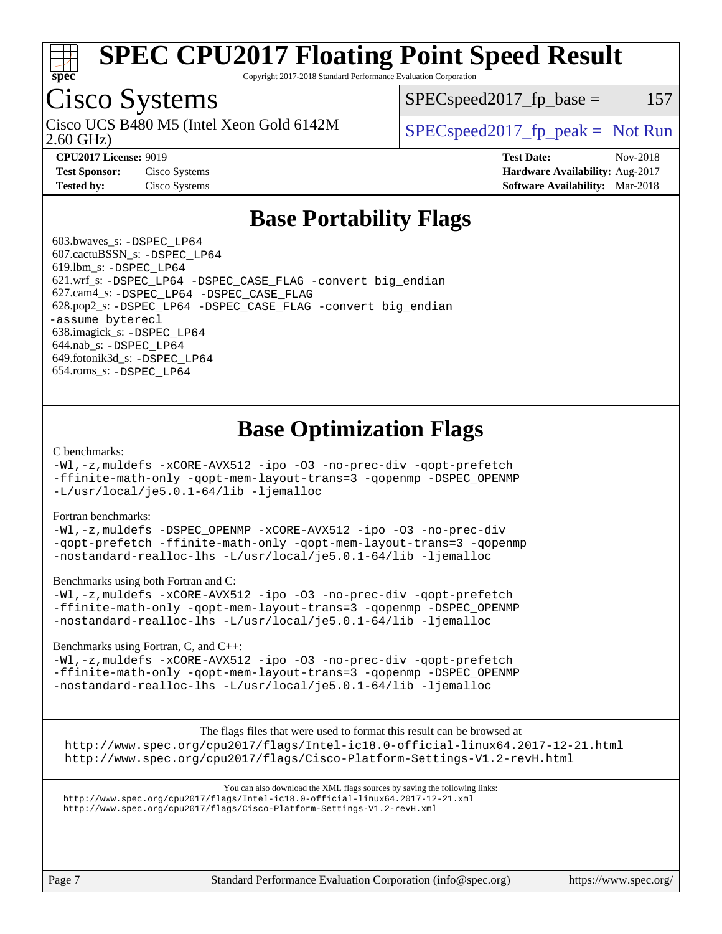

Copyright 2017-2018 Standard Performance Evaluation Corporation

## Cisco Systems

Cisco UCS B480 M5 (Intel Xeon Gold 6142M  $\big|$  [SPECspeed2017\\_fp\\_peak =](http://www.spec.org/auto/cpu2017/Docs/result-fields.html#SPECspeed2017fppeak) Not Run

 $SPEC speed2017_fp\_base = 157$ 

2.60 GHz)

**[CPU2017 License:](http://www.spec.org/auto/cpu2017/Docs/result-fields.html#CPU2017License)** 9019 **[Test Date:](http://www.spec.org/auto/cpu2017/Docs/result-fields.html#TestDate)** Nov-2018 **[Test Sponsor:](http://www.spec.org/auto/cpu2017/Docs/result-fields.html#TestSponsor)** Cisco Systems **[Hardware Availability:](http://www.spec.org/auto/cpu2017/Docs/result-fields.html#HardwareAvailability)** Aug-2017 **[Tested by:](http://www.spec.org/auto/cpu2017/Docs/result-fields.html#Testedby)** Cisco Systems **[Software Availability:](http://www.spec.org/auto/cpu2017/Docs/result-fields.html#SoftwareAvailability)** Mar-2018

## **[Base Portability Flags](http://www.spec.org/auto/cpu2017/Docs/result-fields.html#BasePortabilityFlags)**

 603.bwaves\_s: [-DSPEC\\_LP64](http://www.spec.org/cpu2017/results/res2018q4/cpu2017-20181113-09744.flags.html#suite_basePORTABILITY603_bwaves_s_DSPEC_LP64) 607.cactuBSSN\_s: [-DSPEC\\_LP64](http://www.spec.org/cpu2017/results/res2018q4/cpu2017-20181113-09744.flags.html#suite_basePORTABILITY607_cactuBSSN_s_DSPEC_LP64) 619.lbm\_s: [-DSPEC\\_LP64](http://www.spec.org/cpu2017/results/res2018q4/cpu2017-20181113-09744.flags.html#suite_basePORTABILITY619_lbm_s_DSPEC_LP64) 621.wrf\_s: [-DSPEC\\_LP64](http://www.spec.org/cpu2017/results/res2018q4/cpu2017-20181113-09744.flags.html#suite_basePORTABILITY621_wrf_s_DSPEC_LP64) [-DSPEC\\_CASE\\_FLAG](http://www.spec.org/cpu2017/results/res2018q4/cpu2017-20181113-09744.flags.html#b621.wrf_s_baseCPORTABILITY_DSPEC_CASE_FLAG) [-convert big\\_endian](http://www.spec.org/cpu2017/results/res2018q4/cpu2017-20181113-09744.flags.html#user_baseFPORTABILITY621_wrf_s_convert_big_endian_c3194028bc08c63ac5d04de18c48ce6d347e4e562e8892b8bdbdc0214820426deb8554edfa529a3fb25a586e65a3d812c835984020483e7e73212c4d31a38223) 627.cam4\_s: [-DSPEC\\_LP64](http://www.spec.org/cpu2017/results/res2018q4/cpu2017-20181113-09744.flags.html#suite_basePORTABILITY627_cam4_s_DSPEC_LP64) [-DSPEC\\_CASE\\_FLAG](http://www.spec.org/cpu2017/results/res2018q4/cpu2017-20181113-09744.flags.html#b627.cam4_s_baseCPORTABILITY_DSPEC_CASE_FLAG) 628.pop2\_s: [-DSPEC\\_LP64](http://www.spec.org/cpu2017/results/res2018q4/cpu2017-20181113-09744.flags.html#suite_basePORTABILITY628_pop2_s_DSPEC_LP64) [-DSPEC\\_CASE\\_FLAG](http://www.spec.org/cpu2017/results/res2018q4/cpu2017-20181113-09744.flags.html#b628.pop2_s_baseCPORTABILITY_DSPEC_CASE_FLAG) [-convert big\\_endian](http://www.spec.org/cpu2017/results/res2018q4/cpu2017-20181113-09744.flags.html#user_baseFPORTABILITY628_pop2_s_convert_big_endian_c3194028bc08c63ac5d04de18c48ce6d347e4e562e8892b8bdbdc0214820426deb8554edfa529a3fb25a586e65a3d812c835984020483e7e73212c4d31a38223) [-assume byterecl](http://www.spec.org/cpu2017/results/res2018q4/cpu2017-20181113-09744.flags.html#user_baseFPORTABILITY628_pop2_s_assume_byterecl_7e47d18b9513cf18525430bbf0f2177aa9bf368bc7a059c09b2c06a34b53bd3447c950d3f8d6c70e3faf3a05c8557d66a5798b567902e8849adc142926523472) 638.imagick\_s: [-DSPEC\\_LP64](http://www.spec.org/cpu2017/results/res2018q4/cpu2017-20181113-09744.flags.html#suite_basePORTABILITY638_imagick_s_DSPEC_LP64) 644.nab\_s: [-DSPEC\\_LP64](http://www.spec.org/cpu2017/results/res2018q4/cpu2017-20181113-09744.flags.html#suite_basePORTABILITY644_nab_s_DSPEC_LP64) 649.fotonik3d\_s: [-DSPEC\\_LP64](http://www.spec.org/cpu2017/results/res2018q4/cpu2017-20181113-09744.flags.html#suite_basePORTABILITY649_fotonik3d_s_DSPEC_LP64) 654.roms\_s: [-DSPEC\\_LP64](http://www.spec.org/cpu2017/results/res2018q4/cpu2017-20181113-09744.flags.html#suite_basePORTABILITY654_roms_s_DSPEC_LP64)

## **[Base Optimization Flags](http://www.spec.org/auto/cpu2017/Docs/result-fields.html#BaseOptimizationFlags)**

### [C benchmarks](http://www.spec.org/auto/cpu2017/Docs/result-fields.html#Cbenchmarks):

[-Wl,-z,muldefs](http://www.spec.org/cpu2017/results/res2018q4/cpu2017-20181113-09744.flags.html#user_CCbase_link_force_multiple1_b4cbdb97b34bdee9ceefcfe54f4c8ea74255f0b02a4b23e853cdb0e18eb4525ac79b5a88067c842dd0ee6996c24547a27a4b99331201badda8798ef8a743f577) [-xCORE-AVX512](http://www.spec.org/cpu2017/results/res2018q4/cpu2017-20181113-09744.flags.html#user_CCbase_f-xCORE-AVX512) [-ipo](http://www.spec.org/cpu2017/results/res2018q4/cpu2017-20181113-09744.flags.html#user_CCbase_f-ipo) [-O3](http://www.spec.org/cpu2017/results/res2018q4/cpu2017-20181113-09744.flags.html#user_CCbase_f-O3) [-no-prec-div](http://www.spec.org/cpu2017/results/res2018q4/cpu2017-20181113-09744.flags.html#user_CCbase_f-no-prec-div) [-qopt-prefetch](http://www.spec.org/cpu2017/results/res2018q4/cpu2017-20181113-09744.flags.html#user_CCbase_f-qopt-prefetch) [-ffinite-math-only](http://www.spec.org/cpu2017/results/res2018q4/cpu2017-20181113-09744.flags.html#user_CCbase_f_finite_math_only_cb91587bd2077682c4b38af759c288ed7c732db004271a9512da14a4f8007909a5f1427ecbf1a0fb78ff2a814402c6114ac565ca162485bbcae155b5e4258871) [-qopt-mem-layout-trans=3](http://www.spec.org/cpu2017/results/res2018q4/cpu2017-20181113-09744.flags.html#user_CCbase_f-qopt-mem-layout-trans_de80db37974c74b1f0e20d883f0b675c88c3b01e9d123adea9b28688d64333345fb62bc4a798493513fdb68f60282f9a726aa07f478b2f7113531aecce732043) [-qopenmp](http://www.spec.org/cpu2017/results/res2018q4/cpu2017-20181113-09744.flags.html#user_CCbase_qopenmp_16be0c44f24f464004c6784a7acb94aca937f053568ce72f94b139a11c7c168634a55f6653758ddd83bcf7b8463e8028bb0b48b77bcddc6b78d5d95bb1df2967) [-DSPEC\\_OPENMP](http://www.spec.org/cpu2017/results/res2018q4/cpu2017-20181113-09744.flags.html#suite_CCbase_DSPEC_OPENMP) [-L/usr/local/je5.0.1-64/lib](http://www.spec.org/cpu2017/results/res2018q4/cpu2017-20181113-09744.flags.html#user_CCbase_jemalloc_link_path64_4b10a636b7bce113509b17f3bd0d6226c5fb2346b9178c2d0232c14f04ab830f976640479e5c33dc2bcbbdad86ecfb6634cbbd4418746f06f368b512fced5394) [-ljemalloc](http://www.spec.org/cpu2017/results/res2018q4/cpu2017-20181113-09744.flags.html#user_CCbase_jemalloc_link_lib_d1249b907c500fa1c0672f44f562e3d0f79738ae9e3c4a9c376d49f265a04b9c99b167ecedbf6711b3085be911c67ff61f150a17b3472be731631ba4d0471706)

### [Fortran benchmarks](http://www.spec.org/auto/cpu2017/Docs/result-fields.html#Fortranbenchmarks):

[-Wl,-z,muldefs](http://www.spec.org/cpu2017/results/res2018q4/cpu2017-20181113-09744.flags.html#user_FCbase_link_force_multiple1_b4cbdb97b34bdee9ceefcfe54f4c8ea74255f0b02a4b23e853cdb0e18eb4525ac79b5a88067c842dd0ee6996c24547a27a4b99331201badda8798ef8a743f577) [-DSPEC\\_OPENMP](http://www.spec.org/cpu2017/results/res2018q4/cpu2017-20181113-09744.flags.html#suite_FCbase_DSPEC_OPENMP) [-xCORE-AVX512](http://www.spec.org/cpu2017/results/res2018q4/cpu2017-20181113-09744.flags.html#user_FCbase_f-xCORE-AVX512) [-ipo](http://www.spec.org/cpu2017/results/res2018q4/cpu2017-20181113-09744.flags.html#user_FCbase_f-ipo) [-O3](http://www.spec.org/cpu2017/results/res2018q4/cpu2017-20181113-09744.flags.html#user_FCbase_f-O3) [-no-prec-div](http://www.spec.org/cpu2017/results/res2018q4/cpu2017-20181113-09744.flags.html#user_FCbase_f-no-prec-div) [-qopt-prefetch](http://www.spec.org/cpu2017/results/res2018q4/cpu2017-20181113-09744.flags.html#user_FCbase_f-qopt-prefetch) [-ffinite-math-only](http://www.spec.org/cpu2017/results/res2018q4/cpu2017-20181113-09744.flags.html#user_FCbase_f_finite_math_only_cb91587bd2077682c4b38af759c288ed7c732db004271a9512da14a4f8007909a5f1427ecbf1a0fb78ff2a814402c6114ac565ca162485bbcae155b5e4258871) [-qopt-mem-layout-trans=3](http://www.spec.org/cpu2017/results/res2018q4/cpu2017-20181113-09744.flags.html#user_FCbase_f-qopt-mem-layout-trans_de80db37974c74b1f0e20d883f0b675c88c3b01e9d123adea9b28688d64333345fb62bc4a798493513fdb68f60282f9a726aa07f478b2f7113531aecce732043) [-qopenmp](http://www.spec.org/cpu2017/results/res2018q4/cpu2017-20181113-09744.flags.html#user_FCbase_qopenmp_16be0c44f24f464004c6784a7acb94aca937f053568ce72f94b139a11c7c168634a55f6653758ddd83bcf7b8463e8028bb0b48b77bcddc6b78d5d95bb1df2967) [-nostandard-realloc-lhs](http://www.spec.org/cpu2017/results/res2018q4/cpu2017-20181113-09744.flags.html#user_FCbase_f_2003_std_realloc_82b4557e90729c0f113870c07e44d33d6f5a304b4f63d4c15d2d0f1fab99f5daaed73bdb9275d9ae411527f28b936061aa8b9c8f2d63842963b95c9dd6426b8a) [-L/usr/local/je5.0.1-64/lib](http://www.spec.org/cpu2017/results/res2018q4/cpu2017-20181113-09744.flags.html#user_FCbase_jemalloc_link_path64_4b10a636b7bce113509b17f3bd0d6226c5fb2346b9178c2d0232c14f04ab830f976640479e5c33dc2bcbbdad86ecfb6634cbbd4418746f06f368b512fced5394) [-ljemalloc](http://www.spec.org/cpu2017/results/res2018q4/cpu2017-20181113-09744.flags.html#user_FCbase_jemalloc_link_lib_d1249b907c500fa1c0672f44f562e3d0f79738ae9e3c4a9c376d49f265a04b9c99b167ecedbf6711b3085be911c67ff61f150a17b3472be731631ba4d0471706)

### [Benchmarks using both Fortran and C](http://www.spec.org/auto/cpu2017/Docs/result-fields.html#BenchmarksusingbothFortranandC):

[-Wl,-z,muldefs](http://www.spec.org/cpu2017/results/res2018q4/cpu2017-20181113-09744.flags.html#user_CC_FCbase_link_force_multiple1_b4cbdb97b34bdee9ceefcfe54f4c8ea74255f0b02a4b23e853cdb0e18eb4525ac79b5a88067c842dd0ee6996c24547a27a4b99331201badda8798ef8a743f577) [-xCORE-AVX512](http://www.spec.org/cpu2017/results/res2018q4/cpu2017-20181113-09744.flags.html#user_CC_FCbase_f-xCORE-AVX512) [-ipo](http://www.spec.org/cpu2017/results/res2018q4/cpu2017-20181113-09744.flags.html#user_CC_FCbase_f-ipo) [-O3](http://www.spec.org/cpu2017/results/res2018q4/cpu2017-20181113-09744.flags.html#user_CC_FCbase_f-O3) [-no-prec-div](http://www.spec.org/cpu2017/results/res2018q4/cpu2017-20181113-09744.flags.html#user_CC_FCbase_f-no-prec-div) [-qopt-prefetch](http://www.spec.org/cpu2017/results/res2018q4/cpu2017-20181113-09744.flags.html#user_CC_FCbase_f-qopt-prefetch) [-ffinite-math-only](http://www.spec.org/cpu2017/results/res2018q4/cpu2017-20181113-09744.flags.html#user_CC_FCbase_f_finite_math_only_cb91587bd2077682c4b38af759c288ed7c732db004271a9512da14a4f8007909a5f1427ecbf1a0fb78ff2a814402c6114ac565ca162485bbcae155b5e4258871) [-qopt-mem-layout-trans=3](http://www.spec.org/cpu2017/results/res2018q4/cpu2017-20181113-09744.flags.html#user_CC_FCbase_f-qopt-mem-layout-trans_de80db37974c74b1f0e20d883f0b675c88c3b01e9d123adea9b28688d64333345fb62bc4a798493513fdb68f60282f9a726aa07f478b2f7113531aecce732043) [-qopenmp](http://www.spec.org/cpu2017/results/res2018q4/cpu2017-20181113-09744.flags.html#user_CC_FCbase_qopenmp_16be0c44f24f464004c6784a7acb94aca937f053568ce72f94b139a11c7c168634a55f6653758ddd83bcf7b8463e8028bb0b48b77bcddc6b78d5d95bb1df2967) [-DSPEC\\_OPENMP](http://www.spec.org/cpu2017/results/res2018q4/cpu2017-20181113-09744.flags.html#suite_CC_FCbase_DSPEC_OPENMP) [-nostandard-realloc-lhs](http://www.spec.org/cpu2017/results/res2018q4/cpu2017-20181113-09744.flags.html#user_CC_FCbase_f_2003_std_realloc_82b4557e90729c0f113870c07e44d33d6f5a304b4f63d4c15d2d0f1fab99f5daaed73bdb9275d9ae411527f28b936061aa8b9c8f2d63842963b95c9dd6426b8a) [-L/usr/local/je5.0.1-64/lib](http://www.spec.org/cpu2017/results/res2018q4/cpu2017-20181113-09744.flags.html#user_CC_FCbase_jemalloc_link_path64_4b10a636b7bce113509b17f3bd0d6226c5fb2346b9178c2d0232c14f04ab830f976640479e5c33dc2bcbbdad86ecfb6634cbbd4418746f06f368b512fced5394) [-ljemalloc](http://www.spec.org/cpu2017/results/res2018q4/cpu2017-20181113-09744.flags.html#user_CC_FCbase_jemalloc_link_lib_d1249b907c500fa1c0672f44f562e3d0f79738ae9e3c4a9c376d49f265a04b9c99b167ecedbf6711b3085be911c67ff61f150a17b3472be731631ba4d0471706)

### [Benchmarks using Fortran, C, and C++:](http://www.spec.org/auto/cpu2017/Docs/result-fields.html#BenchmarksusingFortranCandCXX)

[-Wl,-z,muldefs](http://www.spec.org/cpu2017/results/res2018q4/cpu2017-20181113-09744.flags.html#user_CC_CXX_FCbase_link_force_multiple1_b4cbdb97b34bdee9ceefcfe54f4c8ea74255f0b02a4b23e853cdb0e18eb4525ac79b5a88067c842dd0ee6996c24547a27a4b99331201badda8798ef8a743f577) [-xCORE-AVX512](http://www.spec.org/cpu2017/results/res2018q4/cpu2017-20181113-09744.flags.html#user_CC_CXX_FCbase_f-xCORE-AVX512) [-ipo](http://www.spec.org/cpu2017/results/res2018q4/cpu2017-20181113-09744.flags.html#user_CC_CXX_FCbase_f-ipo) [-O3](http://www.spec.org/cpu2017/results/res2018q4/cpu2017-20181113-09744.flags.html#user_CC_CXX_FCbase_f-O3) [-no-prec-div](http://www.spec.org/cpu2017/results/res2018q4/cpu2017-20181113-09744.flags.html#user_CC_CXX_FCbase_f-no-prec-div) [-qopt-prefetch](http://www.spec.org/cpu2017/results/res2018q4/cpu2017-20181113-09744.flags.html#user_CC_CXX_FCbase_f-qopt-prefetch) [-ffinite-math-only](http://www.spec.org/cpu2017/results/res2018q4/cpu2017-20181113-09744.flags.html#user_CC_CXX_FCbase_f_finite_math_only_cb91587bd2077682c4b38af759c288ed7c732db004271a9512da14a4f8007909a5f1427ecbf1a0fb78ff2a814402c6114ac565ca162485bbcae155b5e4258871) [-qopt-mem-layout-trans=3](http://www.spec.org/cpu2017/results/res2018q4/cpu2017-20181113-09744.flags.html#user_CC_CXX_FCbase_f-qopt-mem-layout-trans_de80db37974c74b1f0e20d883f0b675c88c3b01e9d123adea9b28688d64333345fb62bc4a798493513fdb68f60282f9a726aa07f478b2f7113531aecce732043) [-qopenmp](http://www.spec.org/cpu2017/results/res2018q4/cpu2017-20181113-09744.flags.html#user_CC_CXX_FCbase_qopenmp_16be0c44f24f464004c6784a7acb94aca937f053568ce72f94b139a11c7c168634a55f6653758ddd83bcf7b8463e8028bb0b48b77bcddc6b78d5d95bb1df2967) [-DSPEC\\_OPENMP](http://www.spec.org/cpu2017/results/res2018q4/cpu2017-20181113-09744.flags.html#suite_CC_CXX_FCbase_DSPEC_OPENMP) [-nostandard-realloc-lhs](http://www.spec.org/cpu2017/results/res2018q4/cpu2017-20181113-09744.flags.html#user_CC_CXX_FCbase_f_2003_std_realloc_82b4557e90729c0f113870c07e44d33d6f5a304b4f63d4c15d2d0f1fab99f5daaed73bdb9275d9ae411527f28b936061aa8b9c8f2d63842963b95c9dd6426b8a) [-L/usr/local/je5.0.1-64/lib](http://www.spec.org/cpu2017/results/res2018q4/cpu2017-20181113-09744.flags.html#user_CC_CXX_FCbase_jemalloc_link_path64_4b10a636b7bce113509b17f3bd0d6226c5fb2346b9178c2d0232c14f04ab830f976640479e5c33dc2bcbbdad86ecfb6634cbbd4418746f06f368b512fced5394) [-ljemalloc](http://www.spec.org/cpu2017/results/res2018q4/cpu2017-20181113-09744.flags.html#user_CC_CXX_FCbase_jemalloc_link_lib_d1249b907c500fa1c0672f44f562e3d0f79738ae9e3c4a9c376d49f265a04b9c99b167ecedbf6711b3085be911c67ff61f150a17b3472be731631ba4d0471706)

The flags files that were used to format this result can be browsed at <http://www.spec.org/cpu2017/flags/Intel-ic18.0-official-linux64.2017-12-21.html> <http://www.spec.org/cpu2017/flags/Cisco-Platform-Settings-V1.2-revH.html>

You can also download the XML flags sources by saving the following links: <http://www.spec.org/cpu2017/flags/Intel-ic18.0-official-linux64.2017-12-21.xml> <http://www.spec.org/cpu2017/flags/Cisco-Platform-Settings-V1.2-revH.xml>